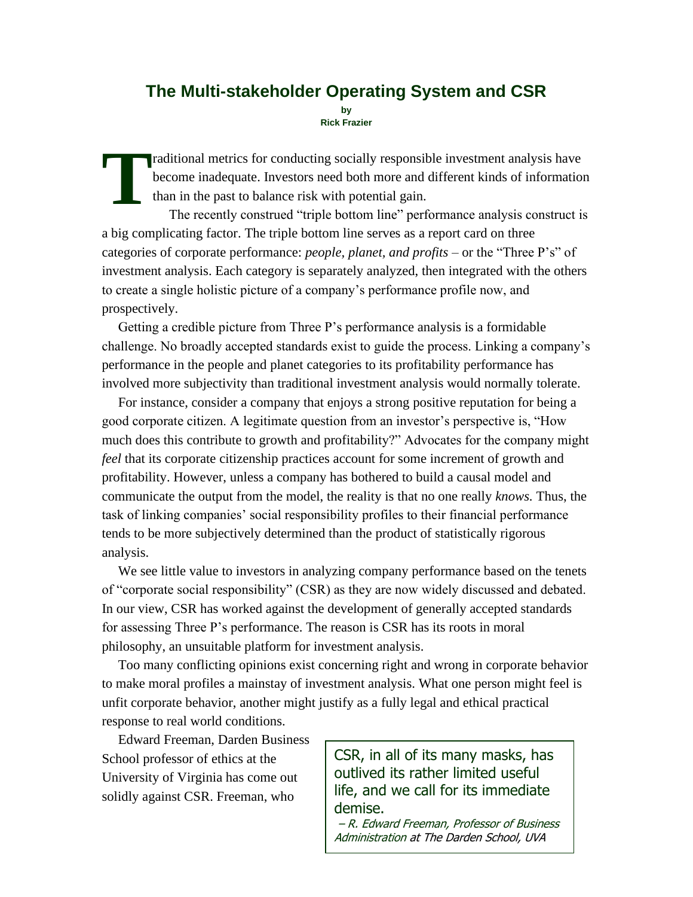## **The Multi-stakeholder Operating System and CSR**

**by Rick Frazier**

raditional metrics for conducting socially responsible investment analysis have become inadequate. Investors need both more and different kinds of information than in the past to balance risk with potential gain. **T**

The recently construed "triple bottom line" performance analysis construct is a big complicating factor. The triple bottom line serves as a report card on three categories of corporate performance: *people, planet, and profits* – or the "Three P's" of investment analysis. Each category is separately analyzed, then integrated with the others to create a single holistic picture of a company's performance profile now, and prospectively.

Getting a credible picture from Three P's performance analysis is a formidable challenge. No broadly accepted standards exist to guide the process. Linking a company's performance in the people and planet categories to its profitability performance has involved more subjectivity than traditional investment analysis would normally tolerate.

For instance, consider a company that enjoys a strong positive reputation for being a good corporate citizen. A legitimate question from an investor's perspective is, "How much does this contribute to growth and profitability?" Advocates for the company might *feel* that its corporate citizenship practices account for some increment of growth and profitability. However, unless a company has bothered to build a causal model and communicate the output from the model, the reality is that no one really *knows.* Thus, the task of linking companies' social responsibility profiles to their financial performance tends to be more subjectively determined than the product of statistically rigorous analysis.

We see little value to investors in analyzing company performance based on the tenets of "corporate social responsibility" (CSR) as they are now widely discussed and debated. In our view, CSR has worked against the development of generally accepted standards for assessing Three P's performance. The reason is CSR has its roots in moral philosophy, an unsuitable platform for investment analysis.

Too many conflicting opinions exist concerning right and wrong in corporate behavior to make moral profiles a mainstay of investment analysis. What one person might feel is unfit corporate behavior, another might justify as a fully legal and ethical practical response to real world conditions.

Edward Freeman, Darden Business School professor of ethics at the University of Virginia has come out solidly against CSR. Freeman, who

CSR, in all of its many masks, has outlived its rather limited useful life, and we call for its immediate demise.

– R. Edward Freeman, Professor of Business Administration at The Darden School, UVA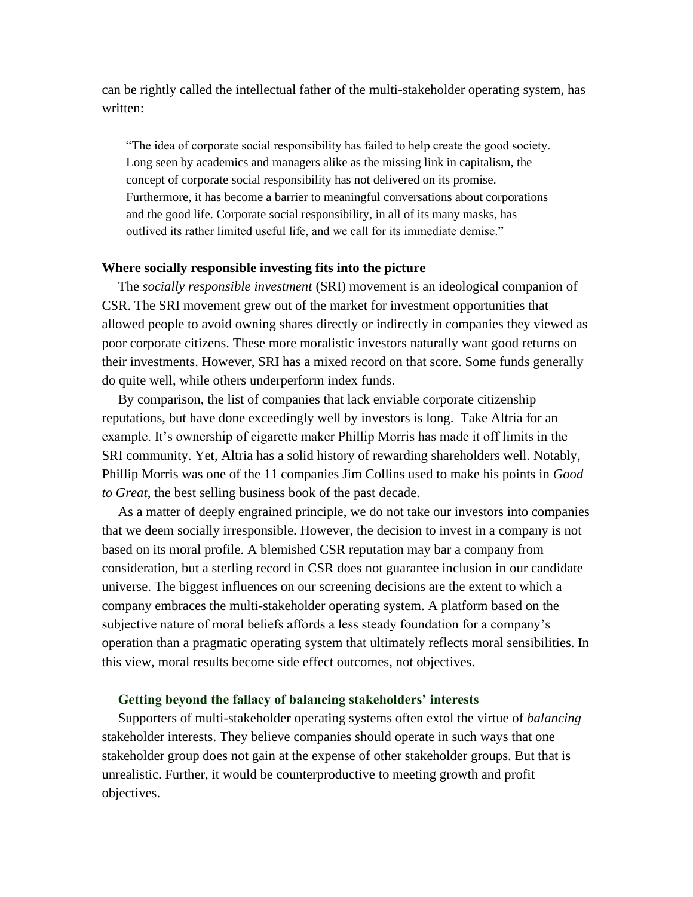can be rightly called the intellectual father of the multi-stakeholder operating system, has written:

"The idea of corporate social responsibility has failed to help create the good society. Long seen by academics and managers alike as the missing link in capitalism, the concept of corporate social responsibility has not delivered on its promise. Furthermore, it has become a barrier to meaningful conversations about corporations and the good life. Corporate social responsibility, in all of its many masks, has outlived its rather limited useful life, and we call for its immediate demise."

## **Where socially responsible investing fits into the picture**

The *socially responsible investment* (SRI) movement is an ideological companion of CSR. The SRI movement grew out of the market for investment opportunities that allowed people to avoid owning shares directly or indirectly in companies they viewed as poor corporate citizens. These more moralistic investors naturally want good returns on their investments. However, SRI has a mixed record on that score. Some funds generally do quite well, while others underperform index funds.

By comparison, the list of companies that lack enviable corporate citizenship reputations, but have done exceedingly well by investors is long. Take Altria for an example. It's ownership of cigarette maker Phillip Morris has made it off limits in the SRI community. Yet, Altria has a solid history of rewarding shareholders well. Notably, Phillip Morris was one of the 11 companies Jim Collins used to make his points in *Good to Great*, the best selling business book of the past decade.

As a matter of deeply engrained principle, we do not take our investors into companies that we deem socially irresponsible. However, the decision to invest in a company is not based on its moral profile. A blemished CSR reputation may bar a company from consideration, but a sterling record in CSR does not guarantee inclusion in our candidate universe. The biggest influences on our screening decisions are the extent to which a company embraces the multi-stakeholder operating system. A platform based on the subjective nature of moral beliefs affords a less steady foundation for a company's operation than a pragmatic operating system that ultimately reflects moral sensibilities. In this view, moral results become side effect outcomes, not objectives.

## **Getting beyond the fallacy of balancing stakeholders' interests**

Supporters of multi-stakeholder operating systems often extol the virtue of *balancing*  stakeholder interests. They believe companies should operate in such ways that one stakeholder group does not gain at the expense of other stakeholder groups. But that is unrealistic. Further, it would be counterproductive to meeting growth and profit objectives.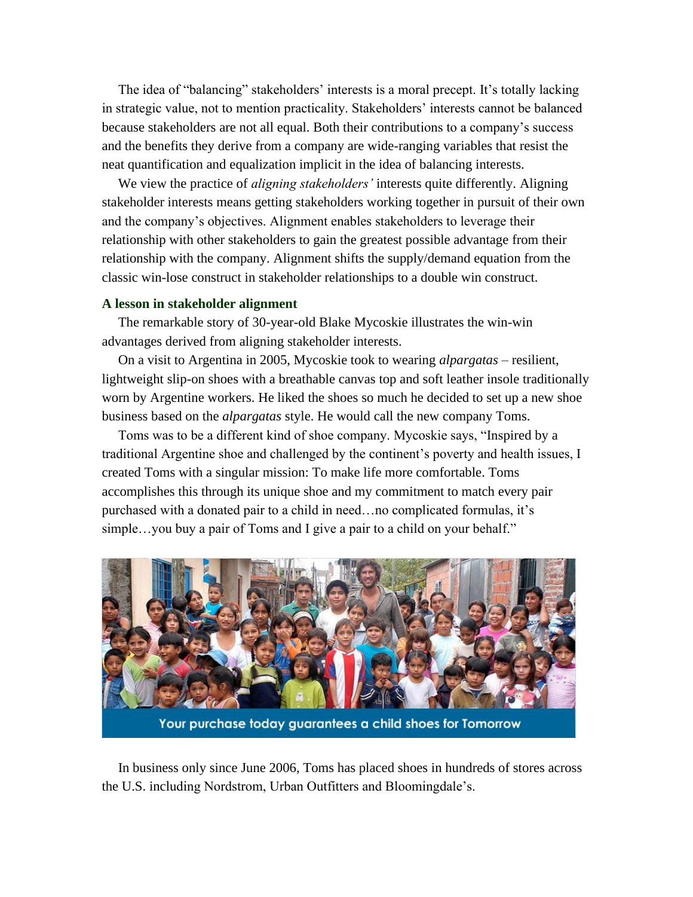The idea of "balancing" stakeholders' interests is a moral precept. It's totally lacking in strategic value, not to mention practicality. Stakeholders' interests cannot be balanced because stakeholders are not all equal. Both their contributions to a company's success and the benefits they derive from a company are wide-ranging variables that resist the neat quantification and equalization implicit in the idea of balancing interests.

We view the practice of *aligning stakeholders'* interests quite differently. Aligning stakeholder interests means getting stakeholders working together in pursuit of their own and the company's objectives. Alignment enables stakeholders to leverage their relationship with other stakeholders to gain the greatest possible advantage from their relationship with the company. Alignment shifts the supply/demand equation from the classic win-lose construct in stakeholder relationships to a double win construct.

## **A lesson in stakeholder alignment**

The remarkable story of 30-year-old Blake Mycoskie illustrates the win-win advantages derived from aligning stakeholder interests.

On a visit to Argentina in 2005, Mycoskie took to wearing *alpargatas* – resilient, lightweight slip-on shoes with a breathable canvas top and soft leather insole traditionally worn by Argentine workers. He liked the shoes so much he decided to set up a new shoe business based on the *alpargatas* style. He would call the new company Toms.

Toms was to be a different kind of shoe company. Mycoskie says, "Inspired by a traditional Argentine shoe and challenged by the continent's poverty and health issues, I created Toms with a singular mission: To make life more comfortable. Toms accomplishes this through its unique shoe and my commitment to match every pair purchased with a donated pair to a child in need…no complicated formulas, it's simple...you buy a pair of Toms and I give a pair to a child on your behalf."



Your purchase today guarantees a child shoes for Tomorrow

In business only since June 2006, Toms has placed shoes in hundreds of stores across the U.S. including Nordstrom, Urban Outfitters and Bloomingdale's.